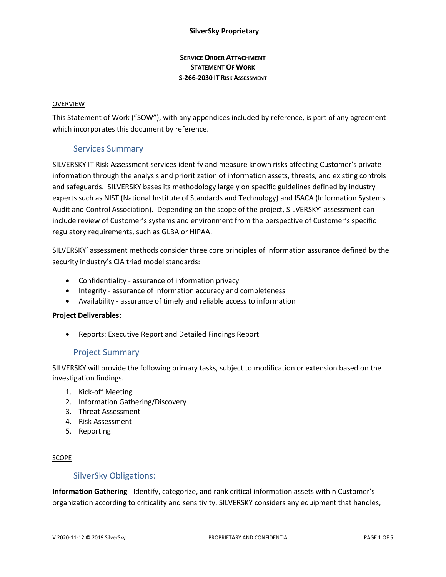# **SERVICE ORDER ATTACHMENT STATEMENT OF WORK**

### **S-266-2030 IT RISK ASSESSMENT**

### OVERVIEW

This Statement of Work ("SOW"), with any appendices included by reference, is part of any agreement which incorporates this document by reference.

# Services Summary

SILVERSKY IT Risk Assessment services identify and measure known risks affecting Customer's private information through the analysis and prioritization of information assets, threats, and existing controls and safeguards. SILVERSKY bases its methodology largely on specific guidelines defined by industry experts such as NIST (National Institute of Standards and Technology) and ISACA (Information Systems Audit and Control Association). Depending on the scope of the project, SILVERSKY' assessment can include review of Customer's systems and environment from the perspective of Customer's specific regulatory requirements, such as GLBA or HIPAA.

SILVERSKY' assessment methods consider three core principles of information assurance defined by the security industry's CIA triad model standards:

- Confidentiality assurance of information privacy
- Integrity assurance of information accuracy and completeness
- Availability assurance of timely and reliable access to information

### **Project Deliverables:**

• Reports: Executive Report and Detailed Findings Report

# Project Summary

SILVERSKY will provide the following primary tasks, subject to modification or extension based on the investigation findings.

- 1. Kick-off Meeting
- 2. Information Gathering/Discovery
- 3. Threat Assessment
- 4. Risk Assessment
- 5. Reporting

### SCOPE

# SilverSky Obligations:

**Information Gathering** - Identify, categorize, and rank critical information assets within Customer's organization according to criticality and sensitivity. SILVERSKY considers any equipment that handles,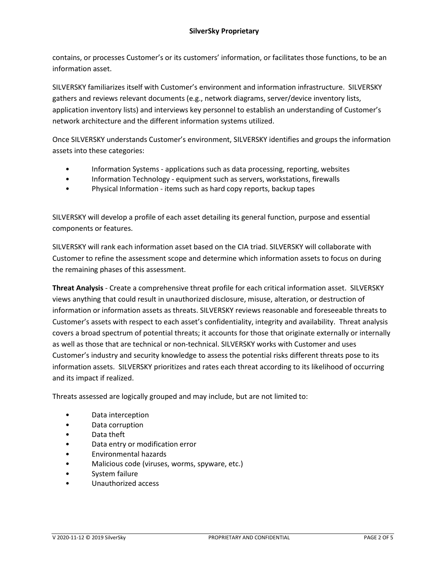contains, or processes Customer's or its customers' information, or facilitates those functions, to be an information asset.

SILVERSKY familiarizes itself with Customer's environment and information infrastructure. SILVERSKY gathers and reviews relevant documents (e.g., network diagrams, server/device inventory lists, application inventory lists) and interviews key personnel to establish an understanding of Customer's network architecture and the different information systems utilized.

Once SILVERSKY understands Customer's environment, SILVERSKY identifies and groups the information assets into these categories:

- Information Systems applications such as data processing, reporting, websites
- Information Technology equipment such as servers, workstations, firewalls
- Physical Information items such as hard copy reports, backup tapes

SILVERSKY will develop a profile of each asset detailing its general function, purpose and essential components or features.

SILVERSKY will rank each information asset based on the CIA triad. SILVERSKY will collaborate with Customer to refine the assessment scope and determine which information assets to focus on during the remaining phases of this assessment.

**Threat Analysis** - Create a comprehensive threat profile for each critical information asset. SILVERSKY views anything that could result in unauthorized disclosure, misuse, alteration, or destruction of information or information assets as threats. SILVERSKY reviews reasonable and foreseeable threats to Customer's assets with respect to each asset's confidentiality, integrity and availability. Threat analysis covers a broad spectrum of potential threats; it accounts for those that originate externally or internally as well as those that are technical or non-technical. SILVERSKY works with Customer and uses Customer's industry and security knowledge to assess the potential risks different threats pose to its information assets. SILVERSKY prioritizes and rates each threat according to its likelihood of occurring and its impact if realized.

Threats assessed are logically grouped and may include, but are not limited to:

- Data interception
- Data corruption
- Data theft
- Data entry or modification error
- Environmental hazards
- Malicious code (viruses, worms, spyware, etc.)
- System failure
- Unauthorized access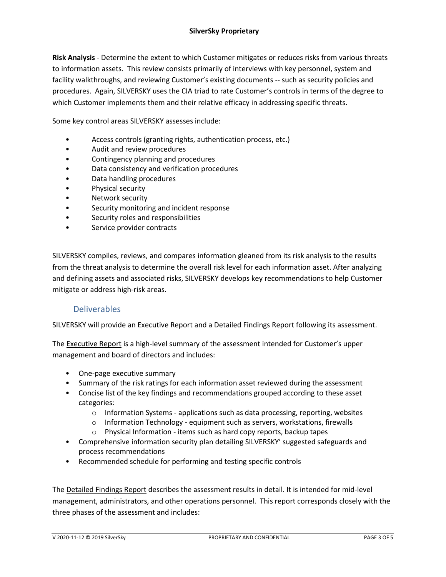**Risk Analysis** - Determine the extent to which Customer mitigates or reduces risks from various threats to information assets. This review consists primarily of interviews with key personnel, system and facility walkthroughs, and reviewing Customer's existing documents -- such as security policies and procedures. Again, SILVERSKY uses the CIA triad to rate Customer's controls in terms of the degree to which Customer implements them and their relative efficacy in addressing specific threats.

Some key control areas SILVERSKY assesses include:

- Access controls (granting rights, authentication process, etc.)
- Audit and review procedures
- Contingency planning and procedures
- Data consistency and verification procedures
- Data handling procedures
- Physical security
- Network security
- Security monitoring and incident response
- Security roles and responsibilities
- Service provider contracts

SILVERSKY compiles, reviews, and compares information gleaned from its risk analysis to the results from the threat analysis to determine the overall risk level for each information asset. After analyzing and defining assets and associated risks, SILVERSKY develops key recommendations to help Customer mitigate or address high-risk areas.

# Deliverables

SILVERSKY will provide an Executive Report and a Detailed Findings Report following its assessment.

The **Executive Report** is a high-level summary of the assessment intended for Customer's upper management and board of directors and includes:

- One-page executive summary
- Summary of the risk ratings for each information asset reviewed during the assessment
- Concise list of the key findings and recommendations grouped according to these asset categories:
	- o Information Systems applications such as data processing, reporting, websites
	- o Information Technology equipment such as servers, workstations, firewalls
	- o Physical Information items such as hard copy reports, backup tapes
- Comprehensive information security plan detailing SILVERSKY' suggested safeguards and process recommendations
- Recommended schedule for performing and testing specific controls

The Detailed Findings Report describes the assessment results in detail. It is intended for mid-level management, administrators, and other operations personnel. This report corresponds closely with the three phases of the assessment and includes: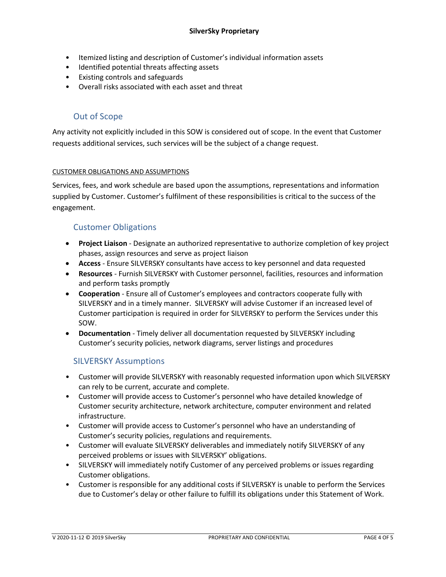- Itemized listing and description of Customer's individual information assets
- Identified potential threats affecting assets
- Existing controls and safeguards
- Overall risks associated with each asset and threat

# Out of Scope

Any activity not explicitly included in this SOW is considered out of scope. In the event that Customer requests additional services, such services will be the subject of a change request.

### CUSTOMER OBLIGATIONS AND ASSUMPTIONS

Services, fees, and work schedule are based upon the assumptions, representations and information supplied by Customer. Customer's fulfilment of these responsibilities is critical to the success of the engagement.

# Customer Obligations

- **Project Liaison** Designate an authorized representative to authorize completion of key project phases, assign resources and serve as project liaison
- **Access**  Ensure SILVERSKY consultants have access to key personnel and data requested
- **Resources** Furnish SILVERSKY with Customer personnel, facilities, resources and information and perform tasks promptly
- **Cooperation** Ensure all of Customer's employees and contractors cooperate fully with SILVERSKY and in a timely manner. SILVERSKY will advise Customer if an increased level of Customer participation is required in order for SILVERSKY to perform the Services under this SOW.
- **Documentation** Timely deliver all documentation requested by SILVERSKY including Customer's security policies, network diagrams, server listings and procedures

# SILVERSKY Assumptions

- Customer will provide SILVERSKY with reasonably requested information upon which SILVERSKY can rely to be current, accurate and complete.
- Customer will provide access to Customer's personnel who have detailed knowledge of Customer security architecture, network architecture, computer environment and related infrastructure.
- Customer will provide access to Customer's personnel who have an understanding of Customer's security policies, regulations and requirements.
- Customer will evaluate SILVERSKY deliverables and immediately notify SILVERSKY of any perceived problems or issues with SILVERSKY' obligations.
- SILVERSKY will immediately notify Customer of any perceived problems or issues regarding Customer obligations.
- Customer is responsible for any additional costs if SILVERSKY is unable to perform the Services due to Customer's delay or other failure to fulfill its obligations under this Statement of Work.